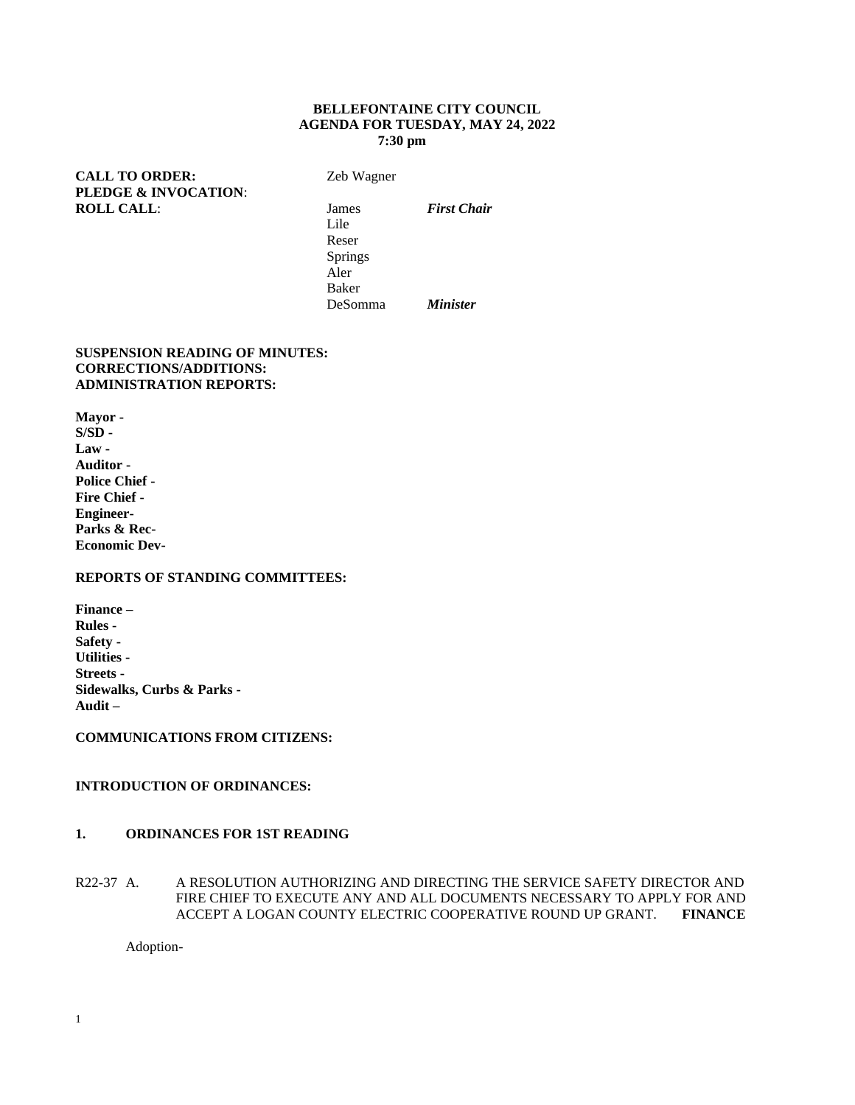### **BELLEFONTAINE CITY COUNCIL AGENDA FOR TUESDAY, MAY 24, 2022 7:30 pm**

**CALL TO ORDER:** Zeb Wagner **PLEDGE & INVOCATION**: **ROLL CALL:** James *First Chair* 

Lile Reser Springs Aler Baker DeSomma *Minister*

### **SUSPENSION READING OF MINUTES: CORRECTIONS/ADDITIONS: ADMINISTRATION REPORTS:**

**Mayor - S/SD - Law - Auditor - Police Chief - Fire Chief - Engineer-Parks & Rec-Economic Dev-**

## **REPORTS OF STANDING COMMITTEES:**

**Finance – Rules - Safety - Utilities - Streets - Sidewalks, Curbs & Parks - Audit –**

**COMMUNICATIONS FROM CITIZENS:**

# **INTRODUCTION OF ORDINANCES:**

## **1. ORDINANCES FOR 1ST READING**

R22-37 A. A RESOLUTION AUTHORIZING AND DIRECTING THE SERVICE SAFETY DIRECTOR AND FIRE CHIEF TO EXECUTE ANY AND ALL DOCUMENTS NECESSARY TO APPLY FOR AND ACCEPT A LOGAN COUNTY ELECTRIC COOPERATIVE ROUND UP GRANT. **FINANCE**

Adoption-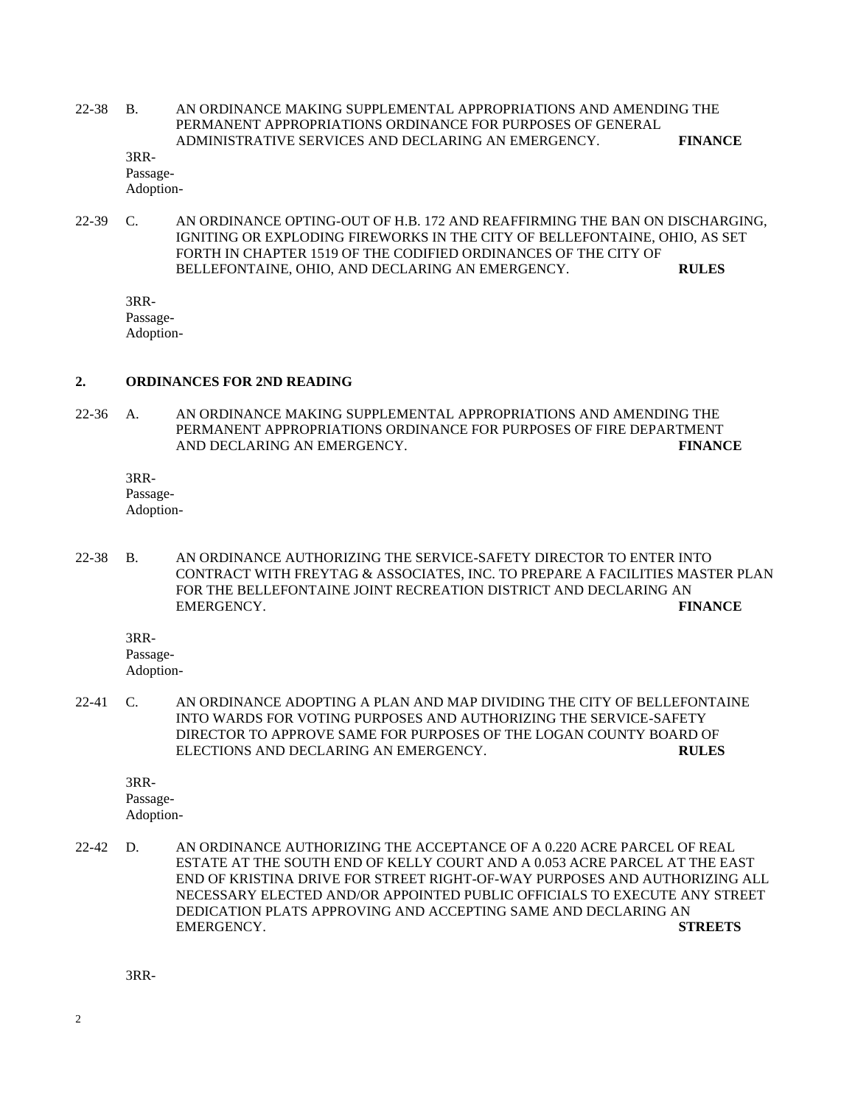22-38 B. AN ORDINANCE MAKING SUPPLEMENTAL APPROPRIATIONS AND AMENDING THE PERMANENT APPROPRIATIONS ORDINANCE FOR PURPOSES OF GENERAL ADMINISTRATIVE SERVICES AND DECLARING AN EMERGENCY. **FINANCE**

3RR-Passage-Adoption-

22-39 C. AN ORDINANCE OPTING-OUT OF H.B. 172 AND REAFFIRMING THE BAN ON DISCHARGING, IGNITING OR EXPLODING FIREWORKS IN THE CITY OF BELLEFONTAINE, OHIO, AS SET FORTH IN CHAPTER 1519 OF THE CODIFIED ORDINANCES OF THE CITY OF BELLEFONTAINE, OHIO, AND DECLARING AN EMERGENCY. **RULES**

3RR-Passage-Adoption-

#### **2. ORDINANCES FOR 2ND READING**

22-36 A. AN ORDINANCE MAKING SUPPLEMENTAL APPROPRIATIONS AND AMENDING THE PERMANENT APPROPRIATIONS ORDINANCE FOR PURPOSES OF FIRE DEPARTMENT AND DECLARING AN EMERGENCY. **FINANCE**

3RR-Passage-Adoption-

22-38 B. AN ORDINANCE AUTHORIZING THE SERVICE-SAFETY DIRECTOR TO ENTER INTO CONTRACT WITH FREYTAG & ASSOCIATES, INC. TO PREPARE A FACILITIES MASTER PLAN FOR THE BELLEFONTAINE JOINT RECREATION DISTRICT AND DECLARING AN EMERGENCY. **FINANCE**

3RR-

Passage-Adoption-

22-41 C. AN ORDINANCE ADOPTING A PLAN AND MAP DIVIDING THE CITY OF BELLEFONTAINE INTO WARDS FOR VOTING PURPOSES AND AUTHORIZING THE SERVICE-SAFETY DIRECTOR TO APPROVE SAME FOR PURPOSES OF THE LOGAN COUNTY BOARD OF ELECTIONS AND DECLARING AN EMERGENCY. **RULES**

3RR-Passage-

Adoption-

22-42 D. AN ORDINANCE AUTHORIZING THE ACCEPTANCE OF A 0.220 ACRE PARCEL OF REAL ESTATE AT THE SOUTH END OF KELLY COURT AND A 0.053 ACRE PARCEL AT THE EAST END OF KRISTINA DRIVE FOR STREET RIGHT-OF-WAY PURPOSES AND AUTHORIZING ALL NECESSARY ELECTED AND/OR APPOINTED PUBLIC OFFICIALS TO EXECUTE ANY STREET DEDICATION PLATS APPROVING AND ACCEPTING SAME AND DECLARING AN EMERGENCY. **STREETS**

3RR-